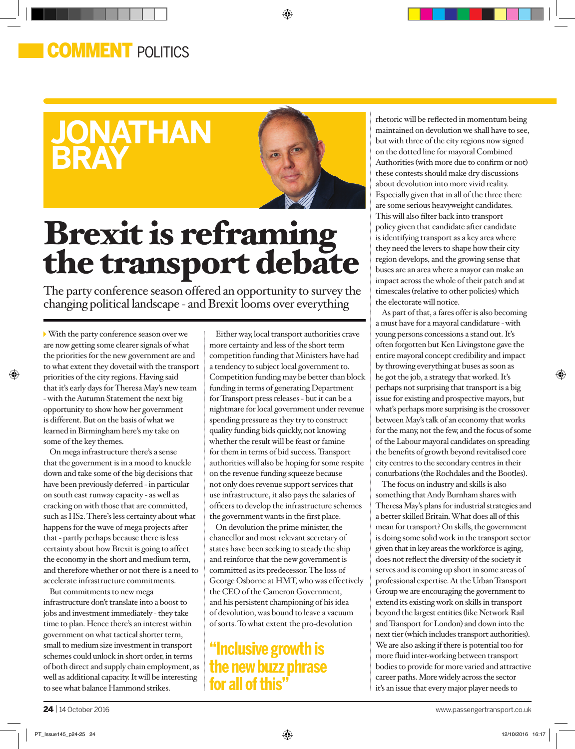### **COMMENT POLITICS**

## **jonathan bray**



◈

# Brexit is reframing the transport debate

The party conference season offered an opportunity to survey the changing political landscape - and Brexit looms over everything

With the party conference season over we are now getting some clearer signals of what the priorities for the new government are and to what extent they dovetail with the transport priorities of the city regions. Having said that it's early days for Theresa May's new team - with the Autumn Statement the next big opportunity to show how her government is different. But on the basis of what we learned in Birmingham here's my take on some of the key themes.

⊕

On mega infrastructure there's a sense that the government is in a mood to knuckle down and take some of the big decisions that have been previously deferred - in particular on south east runway capacity - as well as cracking on with those that are committed, such as HS2. There's less certainty about what happens for the wave of mega projects after that - partly perhaps because there is less certainty about how Brexit is going to affect the economy in the short and medium term, and therefore whether or not there is a need to accelerate infrastructure commitments.

But commitments to new mega infrastructure don't translate into a boost to jobs and investment immediately - they take time to plan. Hence there's an interest within government on what tactical shorter term, small to medium size investment in transport schemes could unlock in short order, in terms of both direct and supply chain employment, as well as additional capacity. It will be interesting to see what balance Hammond strikes.

Either way, local transport authorities crave more certainty and less of the short term competition funding that Ministers have had a tendency to subject local government to. Competition funding may be better than block funding in terms of generating Department for Transport press releases - but it can be a nightmare for local government under revenue spending pressure as they try to construct quality funding bids quickly, not knowing whether the result will be feast or famine for them in terms of bid success. Transport authorities will also be hoping for some respite on the revenue funding squeeze because not only does revenue support services that use infrastructure, it also pays the salaries of officers to develop the infrastructure schemes the government wants in the first place.

On devolution the prime minister, the chancellor and most relevant secretary of states have been seeking to steady the ship and reinforce that the new government is committed as its predecessor. The loss of George Osborne at HMT, who was effectively the CEO of the Cameron Government, and his persistent championing of his idea of devolution, was bound to leave a vacuum of sorts. To what extent the pro-devolution

### **"Inclusive growth is the new buzz phrase for all of this"**

rhetoric will be reflected in momentum being maintained on devolution we shall have to see, but with three of the city regions now signed on the dotted line for mayoral Combined Authorities (with more due to confirm or not) these contests should make dry discussions about devolution into more vivid reality. Especially given that in all of the three there are some serious heavyweight candidates. This will also filter back into transport policy given that candidate after candidate is identifying transport as a key area where they need the levers to shape how their city region develops, and the growing sense that buses are an area where a mayor can make an impact across the whole of their patch and at timescales (relative to other policies) which the electorate will notice.

As part of that, a fares offer is also becoming a must have for a mayoral candidature - with young persons concessions a stand out. It's often forgotten but Ken Livingstone gave the entire mayoral concept credibility and impact by throwing everything at buses as soon as he got the job, a strategy that worked. It's perhaps not surprising that transport is a big issue for existing and prospective mayors, but what's perhaps more surprising is the crossover between May's talk of an economy that works for the many, not the few, and the focus of some of the Labour mayoral candidates on spreading the benefits of growth beyond revitalised core city centres to the secondary centres in their conurbations (the Rochdales and the Bootles).

The focus on industry and skills is also something that Andy Burnham shares with Theresa May's plans for industrial strategies and a better skilled Britain. What does all of this mean for transport? On skills, the government is doing some solid work in the transport sector given that in key areas the workforce is aging, does not reflect the diversity of the society it serves and is coming up short in some areas of professional expertise. At the Urban Transport Group we are encouraging the government to extend its existing work on skills in transport beyond the largest entities (like Network Rail and Transport for London) and down into the next tier (which includes transport authorities). We are also asking if there is potential too for more fluid inter-working between transport bodies to provide for more varied and attractive career paths. More widely across the sector it's an issue that every major player needs to

⊕